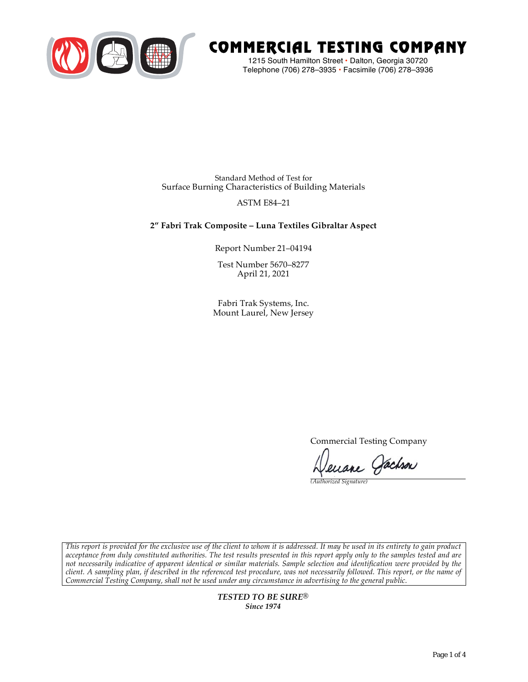

# COMMERCIAL TESTING COMPANY

1215 South Hamilton Street • Dalton, Georgia 30720 Telephone (706) 278–3935 **•** Facsimile (706) 278–3936

Standard Method of Test for Surface Burning Characteristics of Building Materials

# ASTM E84–21

# **2" Fabri Trak Composite – Luna Textiles Gibraltar Aspect**

Report Number 21–04194

Test Number 5670–8277 April 21, 2021

Fabri Trak Systems, Inc. Mount Laurel, New Jersey

Commercial Testing Company

euane Jachson

*(Authorized Signature)* 

*This report is provided for the exclusive use of the client to whom it is addressed. It may be used in its entirety to gain product acceptance from duly constituted authorities. The test results presented in this report apply only to the samples tested and are not necessarily indicative of apparent identical or similar materials. Sample selection and identification were provided by the client. A sampling plan, if described in the referenced test procedure, was not necessarily followed. This report, or the name of Commercial Testing Company, shall not be used under any circumstance in advertising to the general public.* 

> *TESTED TO BE SURE® Since 1974*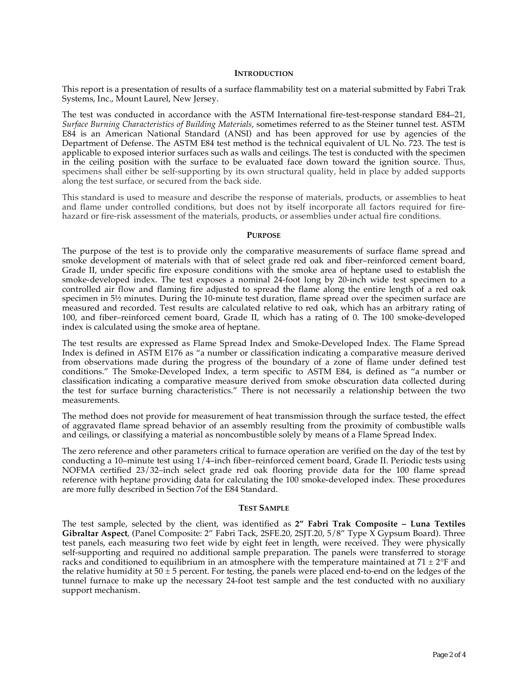## **INTRODUCTION**

This report is a presentation of results of a surface flammability test on a material submitted by Fabri Trak Systems, Inc., Mount Laurel, New Jersey.

The test was conducted in accordance with the ASTM International fire-test-response standard E84–21, *Surface Burning Characteristics of Building Materials*, sometimes referred to as the Steiner tunnel test. ASTM E84 is an American National Standard (ANSI) and has been approved for use by agencies of the Department of Defense. The ASTM E84 test method is the technical equivalent of UL No. 723. The test is applicable to exposed interior surfaces such as walls and ceilings. The test is conducted with the specimen in the ceiling position with the surface to be evaluated face down toward the ignition source. Thus, specimens shall either be self-supporting by its own structural quality, held in place by added supports along the test surface, or secured from the back side.

This standard is used to measure and describe the response of materials, products, or assemblies to heat and flame under controlled conditions, but does not by itself incorporate all factors required for firehazard or fire-risk assessment of the materials, products, or assemblies under actual fire conditions.

## **PURPOSE**

The purpose of the test is to provide only the comparative measurements of surface flame spread and smoke development of materials with that of select grade red oak and fiber–reinforced cement board, Grade II, under specific fire exposure conditions with the smoke area of heptane used to establish the smoke-developed index. The test exposes a nominal 24-foot long by 20-inch wide test specimen to a controlled air flow and flaming fire adjusted to spread the flame along the entire length of a red oak specimen in  $5\frac{1}{2}$  minutes. During the 10-minute test duration, flame spread over the specimen surface are measured and recorded. Test results are calculated relative to red oak, which has an arbitrary rating of 100, and fiber–reinforced cement board, Grade II, which has a rating of 0. The 100 smoke-developed index is calculated using the smoke area of heptane.

The test results are expressed as Flame Spread Index and Smoke-Developed Index. The Flame Spread Index is defined in ASTM E176 as "a number or classification indicating a comparative measure derived from observations made during the progress of the boundary of a zone of flame under defined test conditions." The Smoke-Developed Index, a term specific to ASTM E84, is defined as "a number or classification indicating a comparative measure derived from smoke obscuration data collected during the test for surface burning characteristics." There is not necessarily a relationship between the two measurements.

The method does not provide for measurement of heat transmission through the surface tested, the effect of aggravated flame spread behavior of an assembly resulting from the proximity of combustible walls and ceilings, or classifying a material as noncombustible solely by means of a Flame Spread Index.

The zero reference and other parameters critical to furnace operation are verified on the day of the test by conducting a 10–minute test using 1/4–inch fiber–reinforced cement board, Grade II. Periodic tests using NOFMA certified 23/32–inch select grade red oak flooring provide data for the 100 flame spread reference with heptane providing data for calculating the 100 smoke-developed index. These procedures are more fully described in Section 7of the E84 Standard.

#### **TEST SAMPLE**

The test sample, selected by the client, was identified as **2" Fabri Trak Composite – Luna Textiles Gibraltar Aspect**, (Panel Composite: 2" Fabri Tack, 2SFE.20, 2SJT.20, 5/8" Type X Gypsum Board). Three test panels, each measuring two feet wide by eight feet in length, were received. They were physically self-supporting and required no additional sample preparation. The panels were transferred to storage racks and conditioned to equilibrium in an atmosphere with the temperature maintained at  $71 \pm 2$ °F and the relative humidity at  $50 \pm 5$  percent. For testing, the panels were placed end-to-end on the ledges of the tunnel furnace to make up the necessary 24-foot test sample and the test conducted with no auxiliary support mechanism.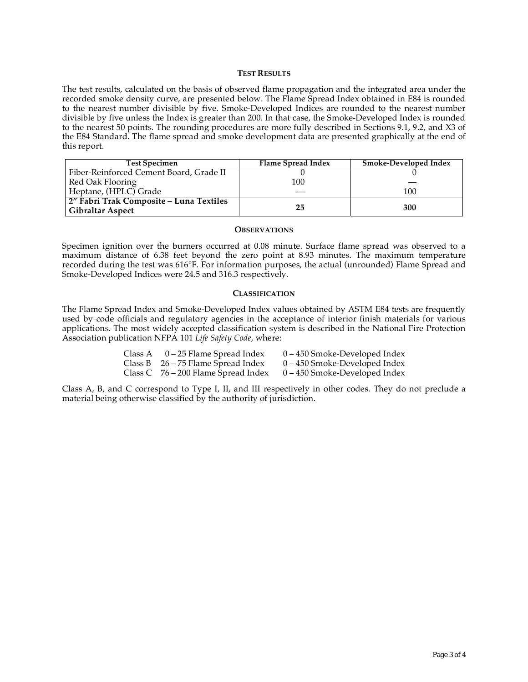# **TEST RESULTS**

The test results, calculated on the basis of observed flame propagation and the integrated area under the recorded smoke density curve, are presented below. The Flame Spread Index obtained in E84 is rounded to the nearest number divisible by five. Smoke-Developed Indices are rounded to the nearest number divisible by five unless the Index is greater than 200. In that case, the Smoke-Developed Index is rounded to the nearest 50 points. The rounding procedures are more fully described in Sections 9.1, 9.2, and X3 of the E84 Standard. The flame spread and smoke development data are presented graphically at the end of this report.

| <b>Test Specimen</b>                    | Flame Spread Index | Smoke-Developed Index |
|-----------------------------------------|--------------------|-----------------------|
| Fiber-Reinforced Cement Board, Grade II |                    |                       |
| Red Oak Flooring                        | 100                |                       |
| Heptane, (HPLC) Grade                   |                    | 100                   |
| 2" Fabri Trak Composite – Luna Textiles |                    |                       |
| <b>Gibraltar Aspect</b>                 | 25                 | 300                   |

## **OBSERVATIONS**

Specimen ignition over the burners occurred at 0.08 minute. Surface flame spread was observed to a maximum distance of 6.38 feet beyond the zero point at 8.93 minutes. The maximum temperature recorded during the test was 616°F. For information purposes, the actual (unrounded) Flame Spread and Smoke-Developed Indices were 24.5 and 316.3 respectively.

## **CLASSIFICATION**

The Flame Spread Index and Smoke-Developed Index values obtained by ASTM E84 tests are frequently used by code officials and regulatory agencies in the acceptance of interior finish materials for various applications. The most widely accepted classification system is described in the National Fire Protection Association publication NFPA 101 *Life Safety Code*, where:

| Class A | 0 – 25 Flame Spread Index             | 0 – 450 Smoke-Developed Index   |
|---------|---------------------------------------|---------------------------------|
|         | Class B $26 - 75$ Flame Spread Index  | $0 - 450$ Smoke-Developed Index |
|         | Class C $76 - 200$ Flame Spread Index | 0 – 450 Smoke-Developed Index   |

Class A, B, and C correspond to Type I, II, and III respectively in other codes. They do not preclude a material being otherwise classified by the authority of jurisdiction.